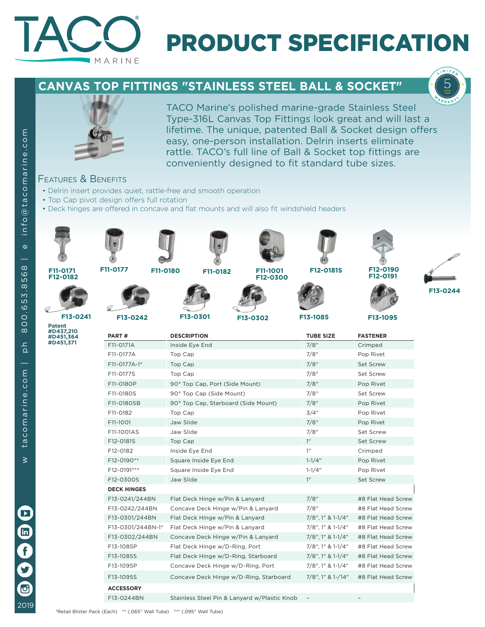

# PRODUCT SPECIFICATION

## **CANVAS TOP FITTINGS "STAINLESS STEEL BALL & SOCKET"**





TACO Marine's polished marine-grade Stainless Steel Type-316L Canvas Top Fittings look great and will last a lifetime. The unique, patented Ball & Socket design offers easy, one-person installation. Delrin inserts eliminate rattle. TACO's full line of Ball & Socket top fittings are conveniently designed to fit standard tube sizes.

### Features & Benefits

- Delrin insert provides quiet, rattle-free and smooth operation
- Top Cap pivot design offers full rotation
- Deck hinges are offered in concave and flat mounts and will also fit windshield headers



2019

 $\overline{\mathbf{G}}$